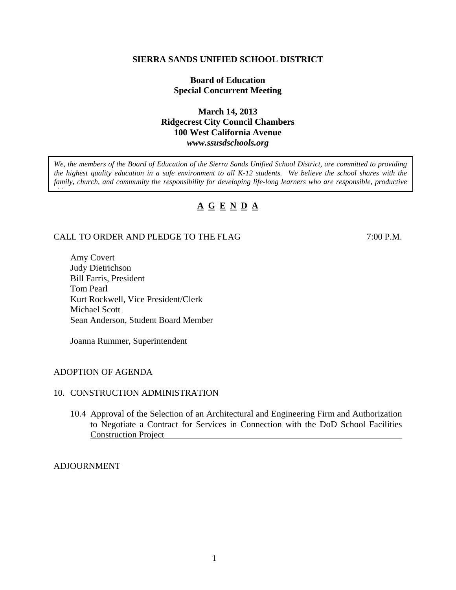#### **SIERRA SANDS UNIFIED SCHOOL DISTRICT**

## **Board of Education Special Concurrent Meeting**

## **March 14, 2013 Ridgecrest City Council Chambers 100 West California Avenue**  *www.ssusdschools.org*

*We, the members of the Board of Education of the Sierra Sands Unified School District, are committed to providing the highest quality education in a safe environment to all K-12 students. We believe the school shares with the*  family, church, and community the responsibility for developing life-long learners who are responsible, productive

# **A G E N D A**

## CALL TO ORDER AND PLEDGE TO THE FLAG 7:00 P.M.

Amy Covert Judy Dietrichson Bill Farris, President Tom Pearl Kurt Rockwell, Vice President/Clerk Michael Scott Sean Anderson, Student Board Member

Joanna Rummer, Superintendent

#### ADOPTION OF AGENDA

*i i*

## 10. CONSTRUCTION ADMINISTRATION

10.4 Approval of the Selection of an Architectural and Engineering Firm and Authorization to Negotiate a Contract for Services in Connection with the DoD School Facilities Construction Project

#### ADJOURNMENT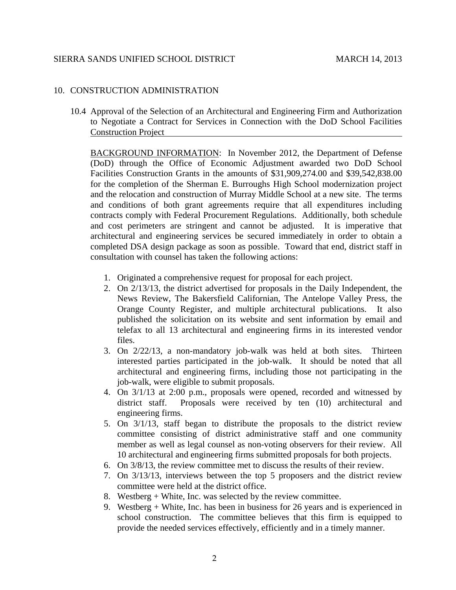#### SIERRA SANDS UNIFIED SCHOOL DISTRICT MARCH 14, 2013

## 10. CONSTRUCTION ADMINISTRATION

10.4 Approval of the Selection of an Architectural and Engineering Firm and Authorization to Negotiate a Contract for Services in Connection with the DoD School Facilities Construction Project

BACKGROUND INFORMATION: In November 2012, the Department of Defense (DoD) through the Office of Economic Adjustment awarded two DoD School Facilities Construction Grants in the amounts of \$31,909,274.00 and \$39,542,838.00 for the completion of the Sherman E. Burroughs High School modernization project and the relocation and construction of Murray Middle School at a new site. The terms and conditions of both grant agreements require that all expenditures including contracts comply with Federal Procurement Regulations. Additionally, both schedule and cost perimeters are stringent and cannot be adjusted. It is imperative that architectural and engineering services be secured immediately in order to obtain a completed DSA design package as soon as possible. Toward that end, district staff in consultation with counsel has taken the following actions:

- 1. Originated a comprehensive request for proposal for each project.
- 2. On 2/13/13, the district advertised for proposals in the Daily Independent, the News Review, The Bakersfield Californian, The Antelope Valley Press, the Orange County Register, and multiple architectural publications. It also published the solicitation on its website and sent information by email and telefax to all 13 architectural and engineering firms in its interested vendor files.
- 3. On 2/22/13, a non-mandatory job-walk was held at both sites. Thirteen interested parties participated in the job-walk. It should be noted that all architectural and engineering firms, including those not participating in the job-walk, were eligible to submit proposals.
- 4. On 3/1/13 at 2:00 p.m., proposals were opened, recorded and witnessed by district staff. Proposals were received by ten (10) architectural and engineering firms.
- 5. On 3/1/13, staff began to distribute the proposals to the district review committee consisting of district administrative staff and one community member as well as legal counsel as non-voting observers for their review. All 10 architectural and engineering firms submitted proposals for both projects.
- 6. On 3/8/13, the review committee met to discuss the results of their review.
- 7. On 3/13/13, interviews between the top 5 proposers and the district review committee were held at the district office.
- 8. Westberg + White, Inc. was selected by the review committee.
- 9. Westberg + White, Inc. has been in business for 26 years and is experienced in school construction. The committee believes that this firm is equipped to provide the needed services effectively, efficiently and in a timely manner.